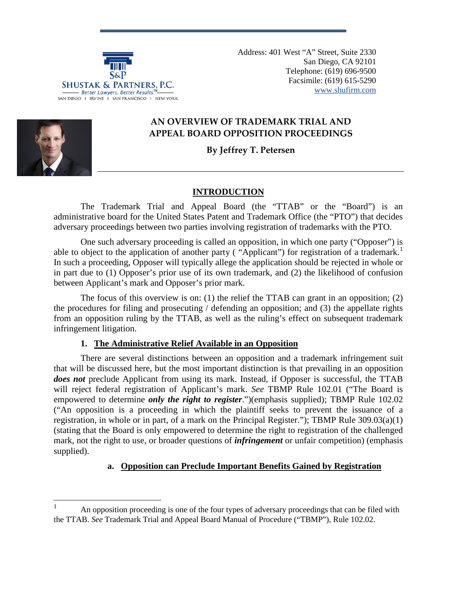

Address: 401 West "A" Street, Suite 2330 San Diego, CA 92101 Telephone: (619) 696-9500 Facsimile: (619) 615-5290 [www.shufirm.com](http://www.shufirm.com/)

# **AN OVERVIEW OF TRADEMARK TRIAL AND APPEAL BOARD OPPOSITION PROCEEDINGS**

# **By Jeffrey T. Petersen**

# **INTRODUCTION**

The Trademark Trial and Appeal Board (the "TTAB" or the "Board") is an administrative board for the United States Patent and Trademark Office (the "PTO") that decides adversary proceedings between two parties involving registration of trademarks with the PTO.

One such adversary proceeding is called an opposition, in which one party ("Opposer") is able to object to the application of another party ("Applicant") for registration of a trademark.<sup>[1](#page-0-0)</sup> In such a proceeding, Opposer will typically allege the application should be rejected in whole or in part due to (1) Opposer's prior use of its own trademark, and (2) the likelihood of confusion between Applicant's mark and Opposer's prior mark.

The focus of this overview is on: (1) the relief the TTAB can grant in an opposition; (2) the procedures for filing and prosecuting / defending an opposition; and (3) the appellate rights from an opposition ruling by the TTAB, as well as the ruling's effect on subsequent trademark infringement litigation.

## **1. The Administrative Relief Available in an Opposition**

There are several distinctions between an opposition and a trademark infringement suit that will be discussed here, but the most important distinction is that prevailing in an opposition *does not* preclude Applicant from using its mark. Instead, if Opposer is successful, the TTAB will reject federal registration of Applicant's mark. *See* TBMP Rule 102.01 ("The Board is empowered to determine *only the right to register*.")(emphasis supplied); TBMP Rule 102.02 ("An opposition is a proceeding in which the plaintiff seeks to prevent the issuance of a registration, in whole or in part, of a mark on the Principal Register."); TBMP Rule  $309.03(a)(1)$ (stating that the Board is only empowered to determine the right to registration of the challenged mark, not the right to use, or broader questions of *infringement* or unfair competition) (emphasis supplied).

# **a. Opposition can Preclude Important Benefits Gained by Registration**

<span id="page-0-0"></span> <sup>1</sup> An opposition proceeding is one of the four types of adversary proceedings that can be filed with the TTAB. *See* Trademark Trial and Appeal Board Manual of Procedure ("TBMP"), Rule 102.02.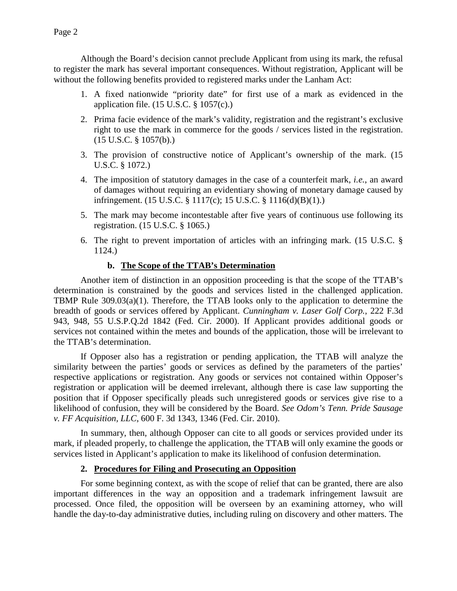Although the Board's decision cannot preclude Applicant from using its mark, the refusal to register the mark has several important consequences. Without registration, Applicant will be without the following benefits provided to registered marks under the Lanham Act:

- 1. A fixed nationwide "priority date" for first use of a mark as evidenced in the application file.  $(15 \text{ U.S.C.} \& 1057(c))$ .
- 2. Prima facie evidence of the mark's validity, registration and the registrant's exclusive right to use the mark in commerce for the goods / services listed in the registration. (15 U.S.C. § 1057(b).)
- 3. The provision of constructive notice of Applicant's ownership of the mark. (15 U.S.C. § 1072.)
- 4. The imposition of statutory damages in the case of a counterfeit mark, *i.e.*, an award of damages without requiring an evidentiary showing of monetary damage caused by infringement. (15 U.S.C. § 1117(c); 15 U.S.C. § 1116(d)(B)(1).)
- 5. The mark may become incontestable after five years of continuous use following its registration. (15 U.S.C. § 1065.)
- 6. The right to prevent importation of articles with an infringing mark. (15 U.S.C. § 1124.)

## **b. The Scope of the TTAB's Determination**

Another item of distinction in an opposition proceeding is that the scope of the TTAB's determination is constrained by the goods and services listed in the challenged application. TBMP Rule 309.03(a)(1). Therefore, the TTAB looks only to the application to determine the breadth of goods or services offered by Applicant. *Cunningham v. Laser Golf Corp.*, 222 F.3d 943, 948, 55 U.S.P.Q.2d 1842 (Fed. Cir. 2000). If Applicant provides additional goods or services not contained within the metes and bounds of the application, those will be irrelevant to the TTAB's determination.

If Opposer also has a registration or pending application, the TTAB will analyze the similarity between the parties' goods or services as defined by the parameters of the parties' respective applications or registration. Any goods or services not contained within Opposer's registration or application will be deemed irrelevant, although there is case law supporting the position that if Opposer specifically pleads such unregistered goods or services give rise to a likelihood of confusion, they will be considered by the Board. *See Odom's Tenn. Pride Sausage v. FF Acquisition, LLC*, 600 F. 3d 1343, 1346 (Fed. Cir. 2010).

In summary, then, although Opposer can cite to all goods or services provided under its mark, if pleaded properly, to challenge the application, the TTAB will only examine the goods or services listed in Applicant's application to make its likelihood of confusion determination.

#### **2. Procedures for Filing and Prosecuting an Opposition**

For some beginning context, as with the scope of relief that can be granted, there are also important differences in the way an opposition and a trademark infringement lawsuit are processed. Once filed, the opposition will be overseen by an examining attorney, who will handle the day-to-day administrative duties, including ruling on discovery and other matters. The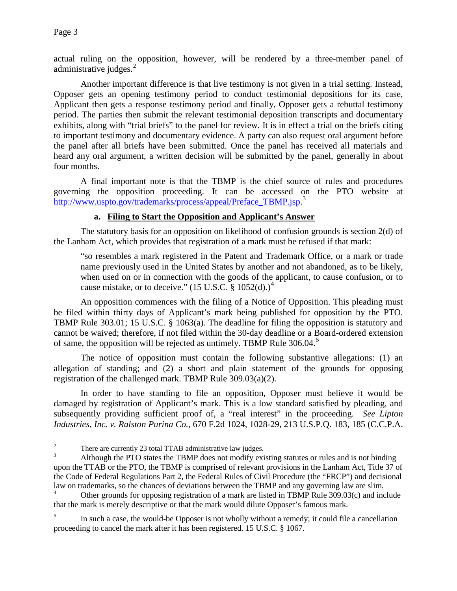actual ruling on the opposition, however, will be rendered by a three-member panel of administrative judges. $^{2}$  $^{2}$  $^{2}$ 

Another important difference is that live testimony is not given in a trial setting. Instead, Opposer gets an opening testimony period to conduct testimonial depositions for its case, Applicant then gets a response testimony period and finally, Opposer gets a rebuttal testimony period. The parties then submit the relevant testimonial deposition transcripts and documentary exhibits, along with "trial briefs" to the panel for review. It is in effect a trial on the briefs citing to important testimony and documentary evidence. A party can also request oral argument before the panel after all briefs have been submitted. Once the panel has received all materials and heard any oral argument, a written decision will be submitted by the panel, generally in about four months.

A final important note is that the TBMP is the chief source of rules and procedures governing the opposition proceeding. It can be accessed on the PTO website at [http://www.uspto.gov/trademarks/process/appeal/Preface\\_TBMP.jsp.](http://www.uspto.gov/trademarks/process/appeal/Preface_TBMP.jsp)<sup>[3](#page-2-1)</sup>

## **a. Filing to Start the Opposition and Applicant's Answer**

The statutory basis for an opposition on likelihood of confusion grounds is section 2(d) of the Lanham Act, which provides that registration of a mark must be refused if that mark:

"so resembles a mark registered in the Patent and Trademark Office, or a mark or trade name previously used in the United States by another and not abandoned, as to be likely, when used on or in connection with the goods of the applicant, to cause confusion, or to cause mistake, or to deceive."  $(15 \text{ U.S.C.} \text{ § } 1052(d))$ <sup>[4](#page-2-2)</sup>

An opposition commences with the filing of a Notice of Opposition. This pleading must be filed within thirty days of Applicant's mark being published for opposition by the PTO. TBMP Rule 303.01; 15 U.S.C. § 1063(a). The deadline for filing the opposition is statutory and cannot be waived; therefore, if not filed within the 30-day deadline or a Board-ordered extension of same, the opposition will be rejected as untimely. TBMP Rule 306.04.<sup>[5](#page-2-3)</sup>

The notice of opposition must contain the following substantive allegations: (1) an allegation of standing; and (2) a short and plain statement of the grounds for opposing registration of the challenged mark. TBMP Rule 309.03(a)(2).

In order to have standing to file an opposition, Opposer must believe it would be damaged by registration of Applicant's mark. This is a low standard satisfied by pleading, and subsequently providing sufficient proof of, a "real interest" in the proceeding. *See Lipton Industries, Inc. v. Ralston Purina Co.*, 670 F.2d 1024, 1028-29, 213 U.S.P.Q. 183, 185 (C.C.P.A.

<span id="page-2-1"></span><span id="page-2-0"></span><sup>&</sup>lt;sup>2</sup> There are currently 23 total TTAB administrative law judges.<br><sup>3</sup> Although the PTO states the TBMP does not modify existing statutes or rules and is not binding upon the TTAB or the PTO, the TBMP is comprised of relevant provisions in the Lanham Act, Title 37 of the Code of Federal Regulations Part 2, the Federal Rules of Civil Procedure (the "FRCP") and decisional law on trademarks, so the chances of deviations between the TBMP and any governing law are slim.

<span id="page-2-2"></span><sup>4</sup> Other grounds for opposing registration of a mark are listed in TBMP Rule 309.03(c) and include that the mark is merely descriptive or that the mark would dilute Opposer's famous mark.

<span id="page-2-3"></span>In such a case, the would-be Opposer is not wholly without a remedy; it could file a cancellation proceeding to cancel the mark after it has been registered. 15 U.S.C. § 1067.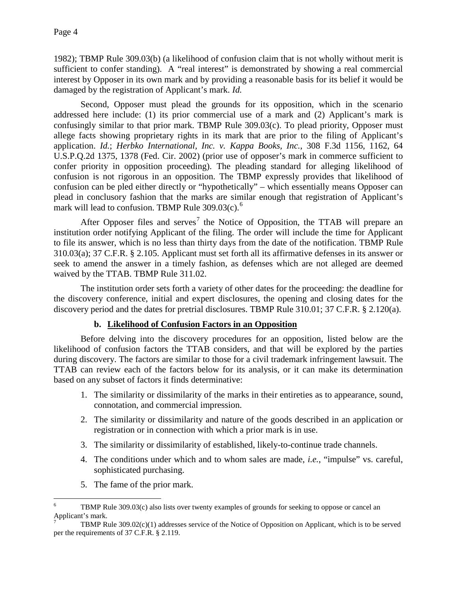1982); TBMP Rule 309.03(b) (a likelihood of confusion claim that is not wholly without merit is sufficient to confer standing). A "real interest" is demonstrated by showing a real commercial interest by Opposer in its own mark and by providing a reasonable basis for its belief it would be damaged by the registration of Applicant's mark. *Id.*

Second, Opposer must plead the grounds for its opposition, which in the scenario addressed here include: (1) its prior commercial use of a mark and (2) Applicant's mark is confusingly similar to that prior mark. TBMP Rule 309.03(c). To plead priority, Opposer must allege facts showing proprietary rights in its mark that are prior to the filing of Applicant's application. *Id.*; *Herbko International, Inc. v. Kappa Books, Inc.*, 308 F.3d 1156, 1162, 64 U.S.P.Q.2d 1375, 1378 (Fed. Cir. 2002) (prior use of opposer's mark in commerce sufficient to confer priority in opposition proceeding). The pleading standard for alleging likelihood of confusion is not rigorous in an opposition. The TBMP expressly provides that likelihood of confusion can be pled either directly or "hypothetically" – which essentially means Opposer can plead in conclusory fashion that the marks are similar enough that registration of Applicant's mark will lead to confusion. TBMP Rule  $309.03(c)$ .<sup>[6](#page-3-0)</sup>

After Opposer files and serves<sup>[7](#page-3-1)</sup> the Notice of Opposition, the TTAB will prepare an institution order notifying Applicant of the filing. The order will include the time for Applicant to file its answer, which is no less than thirty days from the date of the notification. TBMP Rule 310.03(a); 37 C.F.R. § 2.105. Applicant must set forth all its affirmative defenses in its answer or seek to amend the answer in a timely fashion, as defenses which are not alleged are deemed waived by the TTAB. TBMP Rule 311.02.

The institution order sets forth a variety of other dates for the proceeding: the deadline for the discovery conference, initial and expert disclosures, the opening and closing dates for the discovery period and the dates for pretrial disclosures. TBMP Rule 310.01; 37 C.F.R. § 2.120(a).

## **b. Likelihood of Confusion Factors in an Opposition**

Before delving into the discovery procedures for an opposition, listed below are the likelihood of confusion factors the TTAB considers, and that will be explored by the parties during discovery. The factors are similar to those for a civil trademark infringement lawsuit. The TTAB can review each of the factors below for its analysis, or it can make its determination based on any subset of factors it finds determinative:

- 1. The similarity or dissimilarity of the marks in their entireties as to appearance, sound, connotation, and commercial impression.
- 2. The similarity or dissimilarity and nature of the goods described in an application or registration or in connection with which a prior mark is in use.
- 3. The similarity or dissimilarity of established, likely-to-continue trade channels.
- 4. The conditions under which and to whom sales are made, *i.e.*, "impulse" vs. careful, sophisticated purchasing.
- 5. The fame of the prior mark.

<span id="page-3-0"></span>TBMP Rule 309.03(c) also lists over twenty examples of grounds for seeking to oppose or cancel an Applicant's mark.

<span id="page-3-1"></span><sup>7</sup> TBMP Rule 309.02(c)(1) addresses service of the Notice of Opposition on Applicant, which is to be served per the requirements of 37 C.F.R. § 2.119.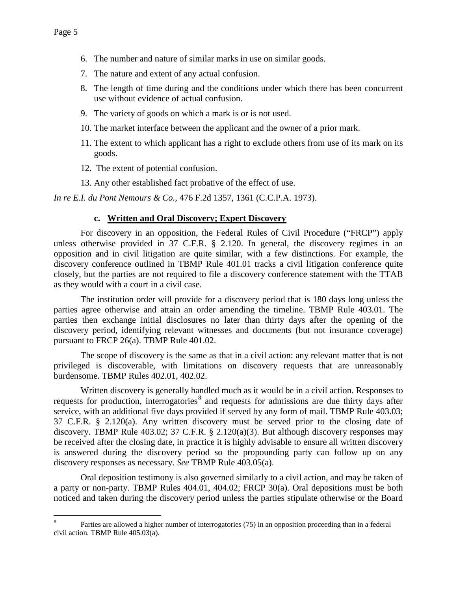- 6. The number and nature of similar marks in use on similar goods.
- 7. The nature and extent of any actual confusion.
- 8. The length of time during and the conditions under which there has been concurrent use without evidence of actual confusion.
- 9. The variety of goods on which a mark is or is not used.
- 10. The market interface between the applicant and the owner of a prior mark.
- 11. The extent to which applicant has a right to exclude others from use of its mark on its goods.
- 12. The extent of potential confusion.
- 13. Any other established fact probative of the effect of use.

*In re E.I. du Pont Nemours & Co.*, 476 F.2d 1357, 1361 (C.C.P.A. 1973).

#### **c. Written and Oral Discovery; Expert Discovery**

For discovery in an opposition, the Federal Rules of Civil Procedure ("FRCP") apply unless otherwise provided in 37 C.F.R. § 2.120. In general, the discovery regimes in an opposition and in civil litigation are quite similar, with a few distinctions. For example, the discovery conference outlined in TBMP Rule 401.01 tracks a civil litigation conference quite closely, but the parties are not required to file a discovery conference statement with the TTAB as they would with a court in a civil case.

The institution order will provide for a discovery period that is 180 days long unless the parties agree otherwise and attain an order amending the timeline. TBMP Rule 403.01. The parties then exchange initial disclosures no later than thirty days after the opening of the discovery period, identifying relevant witnesses and documents (but not insurance coverage) pursuant to FRCP 26(a). TBMP Rule 401.02.

The scope of discovery is the same as that in a civil action: any relevant matter that is not privileged is discoverable, with limitations on discovery requests that are unreasonably burdensome. TBMP Rules 402.01, 402.02.

Written discovery is generally handled much as it would be in a civil action. Responses to requests for production, interrogatories<sup>[8](#page-4-0)</sup> and requests for admissions are due thirty days after service, with an additional five days provided if served by any form of mail. TBMP Rule 403.03; 37 C.F.R. § 2.120(a). Any written discovery must be served prior to the closing date of discovery. TBMP Rule  $403.02$ ;  $37$  C.F.R. §  $2.120(a)(3)$ . But although discovery responses may be received after the closing date, in practice it is highly advisable to ensure all written discovery is answered during the discovery period so the propounding party can follow up on any discovery responses as necessary. *See* TBMP Rule 403.05(a).

Oral deposition testimony is also governed similarly to a civil action, and may be taken of a party or non-party. TBMP Rules 404.01, 404.02; FRCP 30(a). Oral depositions must be both noticed and taken during the discovery period unless the parties stipulate otherwise or the Board

<span id="page-4-0"></span> <sup>8</sup> Parties are allowed a higher number of interrogatories (75) in an opposition proceeding than in a federal civil action. TBMP Rule 405.03(a).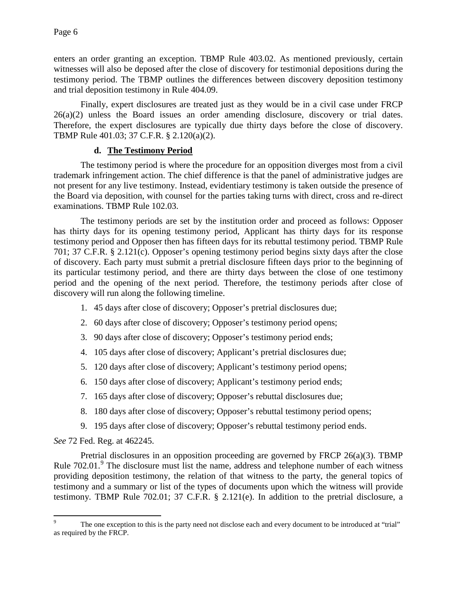enters an order granting an exception. TBMP Rule 403.02. As mentioned previously, certain witnesses will also be deposed after the close of discovery for testimonial depositions during the testimony period. The TBMP outlines the differences between discovery deposition testimony and trial deposition testimony in Rule 404.09.

Finally, expert disclosures are treated just as they would be in a civil case under FRCP 26(a)(2) unless the Board issues an order amending disclosure, discovery or trial dates. Therefore, the expert disclosures are typically due thirty days before the close of discovery. TBMP Rule 401.03; 37 C.F.R. § 2.120(a)(2).

#### **d. The Testimony Period**

The testimony period is where the procedure for an opposition diverges most from a civil trademark infringement action. The chief difference is that the panel of administrative judges are not present for any live testimony. Instead, evidentiary testimony is taken outside the presence of the Board via deposition, with counsel for the parties taking turns with direct, cross and re-direct examinations. TBMP Rule 102.03.

The testimony periods are set by the institution order and proceed as follows: Opposer has thirty days for its opening testimony period, Applicant has thirty days for its response testimony period and Opposer then has fifteen days for its rebuttal testimony period. TBMP Rule 701; 37 C.F.R. § 2.121(c). Opposer's opening testimony period begins sixty days after the close of discovery. Each party must submit a pretrial disclosure fifteen days prior to the beginning of its particular testimony period, and there are thirty days between the close of one testimony period and the opening of the next period. Therefore, the testimony periods after close of discovery will run along the following timeline.

- 1. 45 days after close of discovery; Opposer's pretrial disclosures due;
- 2. 60 days after close of discovery; Opposer's testimony period opens;
- 3. 90 days after close of discovery; Opposer's testimony period ends;
- 4. 105 days after close of discovery; Applicant's pretrial disclosures due;
- 5. 120 days after close of discovery; Applicant's testimony period opens;
- 6. 150 days after close of discovery; Applicant's testimony period ends;
- 7. 165 days after close of discovery; Opposer's rebuttal disclosures due;
- 8. 180 days after close of discovery; Opposer's rebuttal testimony period opens;
- 9. 195 days after close of discovery; Opposer's rebuttal testimony period ends.

*See* 72 Fed. Reg. at 462245.

Pretrial disclosures in an opposition proceeding are governed by FRCP 26(a)(3). TBMP Rule 702.01.<sup>[9](#page-5-0)</sup> The disclosure must list the name, address and telephone number of each witness providing deposition testimony, the relation of that witness to the party, the general topics of testimony and a summary or list of the types of documents upon which the witness will provide testimony. TBMP Rule 702.01; 37 C.F.R. § 2.121(e). In addition to the pretrial disclosure, a

<span id="page-5-0"></span>The one exception to this is the party need not disclose each and every document to be introduced at "trial" as required by the FRCP.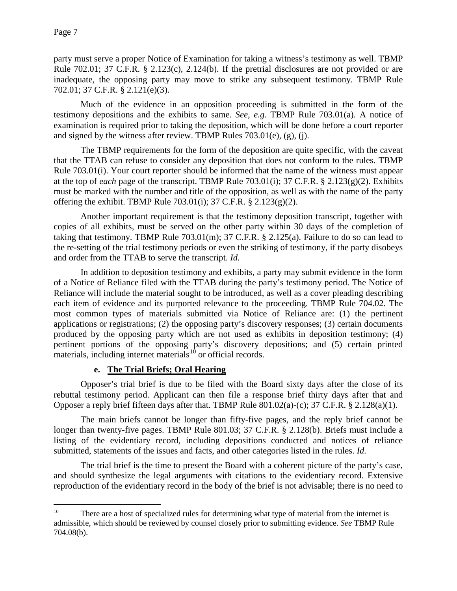party must serve a proper Notice of Examination for taking a witness's testimony as well. TBMP Rule 702.01; 37 C.F.R. § 2.123(c), 2.124(b). If the pretrial disclosures are not provided or are inadequate, the opposing party may move to strike any subsequent testimony. TBMP Rule 702.01; 37 C.F.R. § 2.121(e)(3).

Much of the evidence in an opposition proceeding is submitted in the form of the testimony depositions and the exhibits to same. *See*, *e.g.* TBMP Rule 703.01(a). A notice of examination is required prior to taking the deposition, which will be done before a court reporter and signed by the witness after review. TBMP Rules  $703.01(e)$ , (g), (j).

The TBMP requirements for the form of the deposition are quite specific, with the caveat that the TTAB can refuse to consider any deposition that does not conform to the rules. TBMP Rule 703.01(i). Your court reporter should be informed that the name of the witness must appear at the top of *each* page of the transcript. TBMP Rule 703.01(i); 37 C.F.R. § 2.123(g)(2). Exhibits must be marked with the number and title of the opposition, as well as with the name of the party offering the exhibit. TBMP Rule 703.01(i); 37 C.F.R.  $\S 2.123(g)(2)$ .

Another important requirement is that the testimony deposition transcript, together with copies of all exhibits, must be served on the other party within 30 days of the completion of taking that testimony. TBMP Rule 703.01(m); 37 C.F.R. § 2.125(a). Failure to do so can lead to the re-setting of the trial testimony periods or even the striking of testimony, if the party disobeys and order from the TTAB to serve the transcript. *Id.*

In addition to deposition testimony and exhibits, a party may submit evidence in the form of a Notice of Reliance filed with the TTAB during the party's testimony period. The Notice of Reliance will include the material sought to be introduced, as well as a cover pleading describing each item of evidence and its purported relevance to the proceeding. TBMP Rule 704.02. The most common types of materials submitted via Notice of Reliance are: (1) the pertinent applications or registrations; (2) the opposing party's discovery responses; (3) certain documents produced by the opposing party which are not used as exhibits in deposition testimony; (4) pertinent portions of the opposing party's discovery depositions; and (5) certain printed materials, including internet materials<sup>[10](#page-6-0)</sup> or official records.

## **e. The Trial Briefs; Oral Hearing**

Opposer's trial brief is due to be filed with the Board sixty days after the close of its rebuttal testimony period. Applicant can then file a response brief thirty days after that and Opposer a reply brief fifteen days after that. TBMP Rule 801.02(a)-(c); 37 C.F.R. § 2.128(a)(1).

The main briefs cannot be longer than fifty-five pages, and the reply brief cannot be longer than twenty-five pages. TBMP Rule 801.03; 37 C.F.R. § 2.128(b). Briefs must include a listing of the evidentiary record, including depositions conducted and notices of reliance submitted, statements of the issues and facts, and other categories listed in the rules. *Id.*

The trial brief is the time to present the Board with a coherent picture of the party's case, and should synthesize the legal arguments with citations to the evidentiary record. Extensive reproduction of the evidentiary record in the body of the brief is not advisable; there is no need to

<span id="page-6-0"></span><sup>&</sup>lt;sup>10</sup> There are a host of specialized rules for determining what type of material from the internet is admissible, which should be reviewed by counsel closely prior to submitting evidence. *See* TBMP Rule 704.08(b).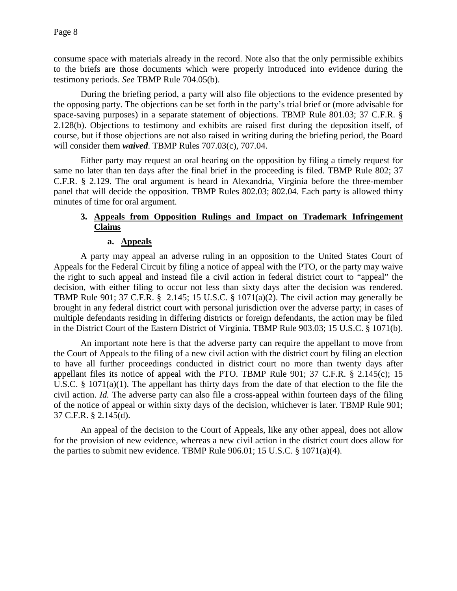consume space with materials already in the record. Note also that the only permissible exhibits to the briefs are those documents which were properly introduced into evidence during the testimony periods. *See* TBMP Rule 704.05(b).

During the briefing period, a party will also file objections to the evidence presented by the opposing party. The objections can be set forth in the party's trial brief or (more advisable for space-saving purposes) in a separate statement of objections. TBMP Rule 801.03; 37 C.F.R. § 2.128(b). Objections to testimony and exhibits are raised first during the deposition itself, of course, but if those objections are not also raised in writing during the briefing period, the Board will consider them *waived*. TBMP Rules 707.03(c), 707.04.

Either party may request an oral hearing on the opposition by filing a timely request for same no later than ten days after the final brief in the proceeding is filed. TBMP Rule 802; 37 C.F.R. § 2.129. The oral argument is heard in Alexandria, Virginia before the three-member panel that will decide the opposition. TBMP Rules 802.03; 802.04. Each party is allowed thirty minutes of time for oral argument.

## **3. Appeals from Opposition Rulings and Impact on Trademark Infringement Claims**

## **a. Appeals**

A party may appeal an adverse ruling in an opposition to the United States Court of Appeals for the Federal Circuit by filing a notice of appeal with the PTO, or the party may waive the right to such appeal and instead file a civil action in federal district court to "appeal" the decision, with either filing to occur not less than sixty days after the decision was rendered. TBMP Rule 901; 37 C.F.R. § 2.145; 15 U.S.C. § 1071(a)(2). The civil action may generally be brought in any federal district court with personal jurisdiction over the adverse party; in cases of multiple defendants residing in differing districts or foreign defendants, the action may be filed in the District Court of the Eastern District of Virginia. TBMP Rule 903.03; 15 U.S.C. § 1071(b).

An important note here is that the adverse party can require the appellant to move from the Court of Appeals to the filing of a new civil action with the district court by filing an election to have all further proceedings conducted in district court no more than twenty days after appellant files its notice of appeal with the PTO. TBMP Rule 901; 37 C.F.R. § 2.145(c); 15 U.S.C. § 1071(a)(1). The appellant has thirty days from the date of that election to the file the civil action. *Id.* The adverse party can also file a cross-appeal within fourteen days of the filing of the notice of appeal or within sixty days of the decision, whichever is later. TBMP Rule 901; 37 C.F.R. § 2.145(d).

An appeal of the decision to the Court of Appeals, like any other appeal, does not allow for the provision of new evidence, whereas a new civil action in the district court does allow for the parties to submit new evidence. TBMP Rule  $906.01$ ; 15 U.S.C. § 1071(a)(4).